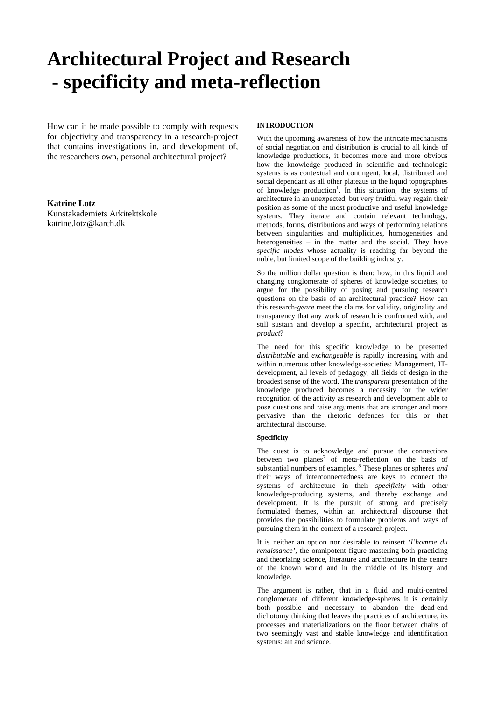# **Architectural Project and Research - specificity and meta-reflection**

How can it be made possible to comply with requests for objectivity and transparency in a research-project that contains investigations in, and development of, the researchers own, personal architectural project?

# **Katrine Lotz**

Kunstakademiets Arkitektskole katrine.lotz@karch.dk

# **INTRODUCTION**

With the upcoming awareness of how the intricate mechanisms of social negotiation and distribution is crucial to all kinds of knowledge productions, it becomes more and more obvious how the knowledge produced in scientific and technologic systems is as contextual and contingent, local, distributed and social dependant as all other plateaus in the liquid topographies of knowledge production<sup>1</sup>. In this situation, the systems of architecture in an unexpected, but very fruitful way regain their position as some of the most productive and useful knowledge systems. They iterate and contain relevant technology, methods, forms, distributions and ways of performing relations between singularities and multiplicities, homogeneities and heterogeneities – in the matter and the social. They have *specific modes* whose actuality is reaching far beyond the noble, but limited scope of the building industry.

So the million dollar question is then: how, in this liquid and changing conglomerate of spheres of knowledge societies, to argue for the possibility of posing and pursuing research questions on the basis of an architectural practice? How can this research-*genre* meet the claims for validity, originality and transparency that any work of research is confronted with, and still sustain and develop a specific, architectural project as *product*?

The need for this specific knowledge to be presented *distributable* and *exchangeable* is rapidly increasing with and within numerous other knowledge-societies: Management, ITdevelopment, all levels of pedagogy, all fields of design in the broadest sense of the word. The *transparent* presentation of the knowledge produced becomes a necessity for the wider recognition of the activity as research and development able to pose questions and raise arguments that are stronger and more pervasive than the rhetoric defences for this or that architectural discourse.

# **Specificity**

The quest is to acknowledge and pursue the connections between two planes<sup>2</sup> of meta-reflection on the basis of substantial numbers of examples. 3 These planes or spheres *and* their ways of interconnectedness are keys to connect the systems of architecture in their *specificity* with other knowledge-producing systems, and thereby exchange and development. It is the pursuit of strong and precisely formulated themes, within an architectural discourse that provides the possibilities to formulate problems and ways of pursuing them in the context of a research project.

It is neither an option nor desirable to reinsert '*l'homme du renaissance',* the omnipotent figure mastering both practicing and theorizing science, literature and architecture in the centre of the known world and in the middle of its history and knowledge.

The argument is rather, that in a fluid and multi-centred conglomerate of different knowledge-spheres it is certainly both possible and necessary to abandon the dead-end dichotomy thinking that leaves the practices of architecture, its processes and materializations on the floor between chairs of two seemingly vast and stable knowledge and identification systems: art and science.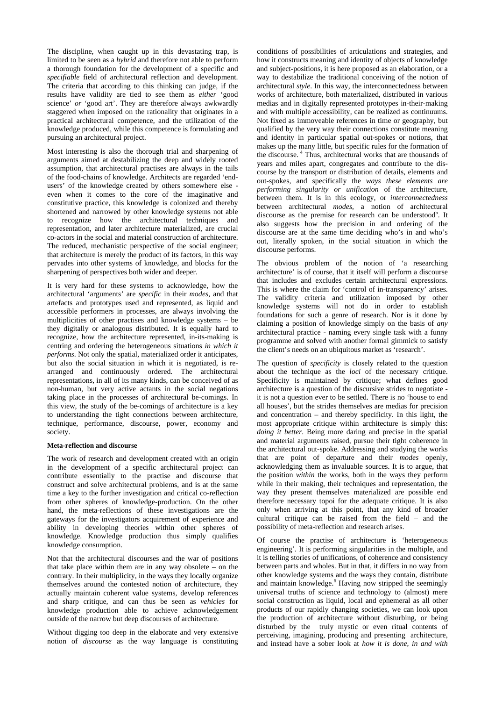The discipline, when caught up in this devastating trap, is limited to be seen as a *hybrid* and therefore not able to perform a thorough foundation for the development of a specific and *specifiable* field of architectural reflection and development. The criteria that according to this thinking can judge, if the results have validity are tied to see them as *either* 'good science' *or* 'good art'. They are therefore always awkwardly staggered when imposed on the rationality that originates in a practical architectural competence, and the utilization of the knowledge produced, while this competence is formulating and pursuing an architectural project.

Most interesting is also the thorough trial and sharpening of arguments aimed at destabilizing the deep and widely rooted assumption, that architectural practises are always in the tails of the food-chains of knowledge. Architects are regarded 'endusers' of the knowledge created by others somewhere else even when it comes to the core of the imaginative and constitutive practice, this knowledge is colonized and thereby shortened and narrowed by other knowledge systems not able to recognize how the architectural techniques and representation, and later architecture materialized, are crucial co-actors in the social and material construction of architecture. The reduced, mechanistic perspective of the social engineer; that architecture is merely the product of its factors, in this way pervades into other systems of knowledge, and blocks for the sharpening of perspectives both wider and deeper.

It is very hard for these systems to acknowledge, how the architectural 'arguments' are *specific* in their *modes*, and that artefacts and prototypes used and represented, as liquid and accessible performers in processes, are always involving the multiplicities of other practises and knowledge systems – be they digitally or analogous distributed. It is equally hard to recognize, how the architecture represented, in-its-making is centring and ordering the heterogeneous situations *in which it performs*. Not only the spatial, materialized order it anticipates, but also the social situation in which it is negotiated, is rearranged and continuously ordered. The architectural representations, in all of its many kinds, can be conceived of as non-human, but very active actants in the social negations taking place in the processes of architectural be-comings. In this view, the study of the be-comings of architecture is a key to understanding the tight connections between architecture, technique, performance, discourse, power, economy and society.

# **Meta-reflection and discourse**

The work of research and development created with an origin in the development of a specific architectural project can contribute essentially to the practise and discourse that construct and solve architectural problems, and is at the same time a key to the further investigation and critical co-reflection from other spheres of knowledge-production. On the other hand, the meta-reflections of these investigations are the gateways for the investigators acquirement of experience and ability in developing theories within other spheres of knowledge. Knowledge production thus simply qualifies knowledge consumption.

Not that the architectural discourses and the war of positions that take place within them are in any way obsolete – on the contrary. In their multiplicity, in the ways they locally organize themselves around the contested notion of architecture, they actually maintain coherent value systems, develop references and sharp critique, and can thus be seen as *vehicles* for knowledge production able to achieve acknowledgement outside of the narrow but deep discourses of architecture.

Without digging too deep in the elaborate and very extensive notion of *discourse* as the way language is constituting conditions of possibilities of articulations and strategies, and how it constructs meaning and identity of objects of knowledge and subject-positions, it is here proposed as an elaboration, or a way to destabilize the traditional conceiving of the notion of architectural *style*. In this way, the interconnectedness between works of architecture, both materialized, distributed in various medias and in digitally represented prototypes in-their-making and with multiple accessibility, can be realized as continuums. Not fixed as immoveable references in time or geography, but qualified by the very way their connections constitute meaning and identity in particular spatial out-spokes or notions, that makes up the many little, but specific rules for the formation of the discourse. 4 Thus, architectural works that are thousands of years and miles apart, congregates and contribute to the discourse by the transport or distribution of details, elements and out-spokes, and specifically the *ways these elements are performing singularity or unification* of the architecture, between them. It is in this ecology, or *interconnectedness* between architectural *modes*, a notion of architectural discourse as the premise for research can be understood<sup>5</sup>. It also suggests how the precision in and ordering of the discourse are at the same time deciding who's in and who's out, literally spoken, in the social situation in which the discourse performs.

The obvious problem of the notion of 'a researching architecture' is of course, that it itself will perform a discourse that includes and excludes certain architectural expressions. This is where the claim for 'control of in-transparency' arises. The validity criteria and utilization imposed by other knowledge systems will not do in order to establish foundations for such a genre of research. Nor is it done by claiming a position of knowledge simply on the basis of *any* architectural practice - naming every single task with a funny programme and solved with another formal gimmick to satisfy the client's needs on an ubiquitous market as 'research'.

The question of *specificity* is closely related to the question about the technique as the *loci* of the necessary critique. Specificity is maintained by critique; what defines good architecture is a question of the discursive strides to negotiate it is not a question ever to be settled. There is no 'house to end all houses', but the strides themselves are medias for precision and concentration – and thereby specificity. In this light, the most appropriate critique within architecture is simply this: *doing it better*. Being more daring and precise in the spatial and material arguments raised, pursue their tight coherence in the architectural out-spoke. Addressing and studying the works that are point of departure and their *modes* openly, acknowledging them as invaluable sources. It is to argue, that the position *within* the works, both in the ways they perform while in their making, their techniques and representation, the way they present themselves materialized are possible end therefore necessary topoi for the adequate critique. It is also only when arriving at this point, that any kind of broader cultural critique can be raised from the field – and the possibility of meta-reflection and research arises.

Of course the practise of architecture is 'heterogeneous engineering'. It is performing singularities in the multiple, and it is telling stories of unifications, of coherence and consistency between parts and wholes. But in that, it differs in no way from other knowledge systems and the ways they contain, distribute and maintain knowledge.<sup>6</sup> Having now stripped the seemingly universal truths of science and technology to (almost) mere social construction as liquid, local and ephemeral as all other products of our rapidly changing societies, we can look upon the production of architecture without disturbing, or being disturbed by the truly mystic or even ritual contents of perceiving, imagining, producing and presenting architecture, and instead have a sober look at *how it is done, in and with*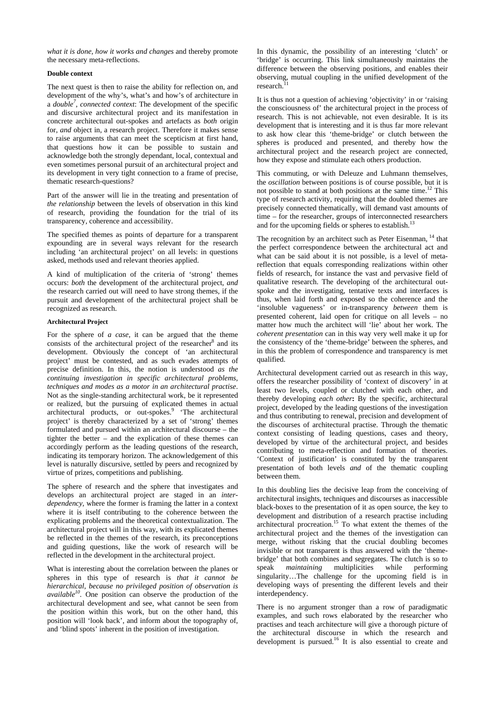*what it is done, how it works and changes* and thereby promote the necessary meta-reflections.

# **Double context**

The next quest is then to raise the ability for reflection on, and development of the why's, what's and how's of architecture in a *double7 , connected context*: The development of the specific and discursive architectural project and its manifestation in concrete architectural out-spokes and artefacts as *both* origin for, *and* object in, a research project. Therefore it makes sense to raise arguments that can meet the scepticism at first hand, that questions how it can be possible to sustain and acknowledge both the strongly dependant, local, contextual and even sometimes personal pursuit of an architectural project and its development in very tight connection to a frame of precise, thematic research-questions?

Part of the answer will lie in the treating and presentation of *the relationship* between the levels of observation in this kind of research, providing the foundation for the trial of its transparency, coherence and accessibility.

The specified themes as points of departure for a transparent expounding are in several ways relevant for the research including 'an architectural project' on all levels: in questions asked, methods used and relevant theories applied.

A kind of multiplication of the criteria of 'strong' themes occurs: *both* the development of the architectural project, *and* the research carried out will need to have strong themes, if the pursuit and development of the architectural project shall be recognized as research.

## **Architectural Project**

For the sphere of *a case*, it can be argued that the theme consists of the architectural project of the researcher $8$  and its development. Obviously the concept of 'an architectural project' must be contested, and as such evades attempts of precise definition. In this, the notion is understood *as the continuing investigation in specific architectural problems, techniques and modes as a motor in an architectural practise*. Not as the single-standing architectural work, be it represented or realized, but the pursuing of explicated themes in actual architectural products, or out-spokes.<sup>9</sup> 'The architectural project' is thereby characterized by a set of 'strong' themes formulated and pursued within an architectural discourse – the tighter the better – and the explication of these themes can accordingly perform as the leading questions of the research, indicating its temporary horizon. The acknowledgement of this level is naturally discursive, settled by peers and recognized by virtue of prizes, competitions and publishing.

The sphere of research and the sphere that investigates and develops an architectural project are staged in an *interdependency,* where the former is framing the latter in a context where it is itself contributing to the coherence between the explicating problems and the theoretical contextualization. The architectural project will in this way, with its explicated themes be reflected in the themes of the research, its preconceptions and guiding questions, like the work of research will be reflected in the development in the architectural project.

What is interesting about the correlation between the planes or spheres in this type of research is *that it cannot be hierarchical, because no privileged position of observation is available<sup>10</sup>*. One position can observe the production of the architectural development and see, what cannot be seen from the position within this work, but on the other hand, this position will 'look back', and inform about the topography of, and 'blind spots' inherent in the position of investigation.

In this dynamic, the possibility of an interesting 'clutch' or 'bridge' is occurring. This link simultaneously maintains the difference between the observing positions, and enables their observing, mutual coupling in the unified development of the research.

It is thus not a question of achieving 'objectivity' in or 'raising the consciousness of' the architectural project in the process of research. This is not achievable, not even desirable. It is its development that is interesting and it is thus far more relevant to ask how clear this 'theme-bridge' or clutch between the spheres is produced and presented, and thereby how the architectural project and the research project are connected, how they expose and stimulate each others production.

This commuting, or with Deleuze and Luhmann themselves, the *oscillation* between positions is of course possible, but it is not possible to stand at both positions at the same time.12 This type of research activity, requiring that the doubled themes are precisely connected thematically, will demand vast amounts of time – for the researcher, groups of interconnected researchers and for the upcoming fields or spheres to establish.<sup>13</sup>

The recognition by an architect such as Peter Eisenman, <sup>14</sup> that the perfect correspondence between the architectural act and what can be said about it is not possible, is a level of metareflection that equals corresponding realizations within other fields of research, for instance the vast and pervasive field of qualitative research. The developing of the architectural outspoke and the investigating, tentative texts and interfaces is thus, when laid forth and exposed so the coherence and the 'insoluble vagueness' or in-transparency *between* them is presented coherent, laid open for critique on all levels – no matter how much the architect will 'lie' about her work. The *coherent presentation* can in this way very well make it up for the consistency of the 'theme-bridge' between the spheres, and in this the problem of correspondence and transparency is met qualified.

Architectural development carried out as research in this way, offers the researcher possibility of 'context of discovery' in at least two levels, coupled or clutched with each other, and thereby developing *each other***:** By the specific, architectural project, developed by the leading questions of the investigation and thus contributing to renewal, precision and development of the discourses of architectural practise. Through the thematic context consisting of leading questions, cases and theory, developed by virtue of the architectural project, and besides contributing to meta-reflection and formation of theories. 'Context of justification' is constituted by the transparent presentation of both levels *and* of the thematic coupling between them.

In this doubling lies the decisive leap from the conceiving of architectural insights, techniques and discourses as inaccessible black-boxes to the presentation of it as open source, the key to development and distribution of a research practise including architectural procreation.<sup>15</sup> To what extent the themes of the architectural project and the themes of the investigation can merge, without risking that the crucial doubling becomes invisible or not transparent is thus answered with the 'themebridge' that both combines and segregates. The clutch is so to speak *maintaining* multiplicities while performing singularity…The challenge for the upcoming field is in developing ways of presenting the different levels and their interdependency.

There is no argument stronger than a row of paradigmatic examples, and such rows elaborated by the researcher who practises and teach architecture will give a thorough picture of the architectural discourse in which the research and development is pursued.<sup>16</sup> It is also essential to create and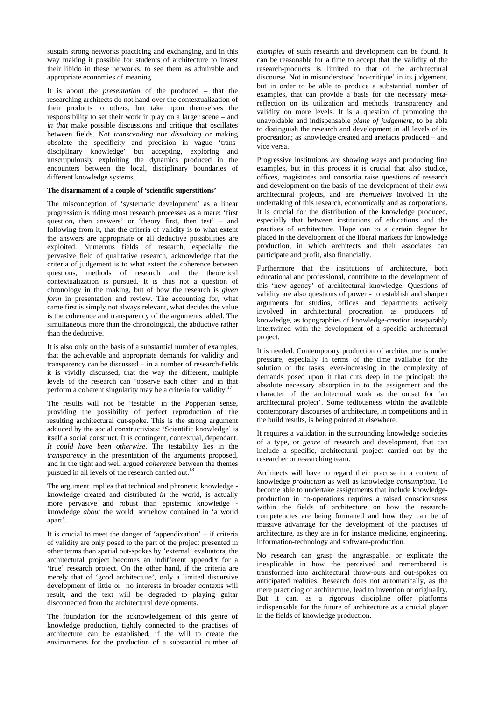sustain strong networks practicing and exchanging, and in this way making it possible for students of architecture to invest their libido in these networks, to see them as admirable and appropriate economies of meaning.

It is about the *presentation* of the produced – that the researching architects do not hand over the contextualization of their products to others, but take upon themselves the responsibility to set their work in play on a larger scene – and *in that* make possible discussions and critique that oscillates between fields. Not *transcending* nor *dissolving* or making obsolete the specificity and precision in vague 'transdisciplinary knowledge' but accepting, exploring and unscrupulously exploiting the dynamics produced in the encounters between the local, disciplinary boundaries of different knowledge systems.

# **The disarmament of a couple of 'scientific superstitions'**

The misconception of 'systematic development' as a linear progression is riding most research processes as a mare: 'first question, then answers' or 'theory first, then test' – and following from it, that the criteria of validity is to what extent the answers are appropriate or all deductive possibilities are exploited. Numerous fields of research, especially the pervasive field of qualitative research, acknowledge that the criteria of judgement is to what extent the coherence between questions, methods of research and the theoretical contextualization is pursued. It is thus not a question of chronology in the making, but of how the research is *given form* in presentation and review. The accounting for, what came first is simply not always relevant, what decides the value is the coherence and transparency of the arguments tabled. The simultaneous more than the chronological, the abductive rather than the deductive.

It is also only on the basis of a substantial number of examples, that the achievable and appropriate demands for validity and transparency can be discussed – in a number of research-fields it is vividly discussed, that the way the different, multiple levels of the research can 'observe each other' and in that perform a coherent singularity may be a criteria for validity.<sup>1</sup>

The results will not be 'testable' in the Popperian sense, providing the possibility of perfect reproduction of the resulting architectural out-spoke. This is the strong argument adduced by the social constructivists: 'Scientific knowledge' is itself a social construct. It is contingent, contextual, dependant. *It could have been otherwise*. The testability lies in the *transparency* in the presentation of the arguments proposed, and in the tight and well argued *coherence* between the themes pursued in all levels of the research carried out.

The argument implies that technical and phronetic knowledge knowledge created and distributed *in* the world, is actually more pervasive and robust than epistemic knowledge knowledge *about* the world, somehow contained in 'a world apart'.

It is crucial to meet the danger of 'appendixation' – if criteria of validity are only posed to the part of the project presented in other terms than spatial out-spokes by 'external' evaluators, the architectural project becomes an indifferent appendix for a 'true' research project. On the other hand, if the criteria are merely that of 'good architecture', only a limited discursive development of little or no interests in broader contexts will result, and the text will be degraded to playing guitar disconnected from the architectural developments.

The foundation for the acknowledgement of this genre of knowledge production, tightly connected to the practises of architecture can be established, if the will to create the environments for the production of a substantial number of *examples* of such research and development can be found. It can be reasonable for a time to accept that the validity of the research-products is limited to that of the architectural discourse. Not in misunderstood 'no-critique' in its judgement, but in order to be able to produce a substantial number of examples, that can provide a basis for the necessary metareflection on its utilization and methods, transparency and validity on more levels. It is a question of promoting the unavoidable and indispensable *plane of judgement*, to be able to distinguish the research and development in all levels of its procreation; as knowledge created and artefacts produced – and vice versa.

Progressive institutions are showing ways and producing fine examples, but in this process it is crucial that also studios, offices, magistrates and consortia raise questions of research and development on the basis of the development of their *own* architectural projects, and are *themselves* involved in the undertaking of this research, economically and as corporations. It is crucial for the distribution of the knowledge produced, especially that between institutions of educations and the practises of architecture. Hope can to a certain degree be placed in the development of the liberal markets for knowledge production, in which architects and their associates can participate and profit, also financially.

Furthermore that the institutions of architecture, both educational and professional, contribute to the development of this 'new agency' of architectural knowledge. Questions of validity are also questions of power - to establish and sharpen arguments for studios, offices and departments actively involved in architectural procreation as producers of knowledge, as topographies of knowledge-creation inseparably intertwined with the development of a specific architectural project.

It is needed. Contemporary production of architecture is under pressure, especially in terms of the time available for the solution of the tasks, ever-increasing in the complexity of demands posed upon it that cuts deep in the principal: the absolute necessary absorption in to the assignment and the character of the architectural work as the outset for 'an architectural project'. Some tediousness within the available contemporary discourses of architecture, in competitions and in the build results, is being pointed at elsewhere.

It requires a validation in the surrounding knowledge societies of a type, or *genre* of research and development, that can include a specific, architectural project carried out by the researcher or researching team.

Architects will have to regard their practise in a context of knowledge *production* as well as knowledge *consumption*. To become able to undertake assignments that include knowledgeproduction in co-operations requires a raised consciousness within the fields of architecture on how the researchcompetencies are being formatted and how they can be of massive advantage for the development of the practises of architecture, as they are in for instance medicine, engineering, information-technology and software-production.

No research can grasp the ungraspable, or explicate the inexplicable in how the perceived and remembered is transformed into architectural throw-outs and out-spokes on anticipated realities. Research does not automatically, as the mere practicing of architecture, lead to invention or originality. But it can, as a rigorous discipline offer platforms indispensable for the future of architecture as a crucial player in the fields of knowledge production.